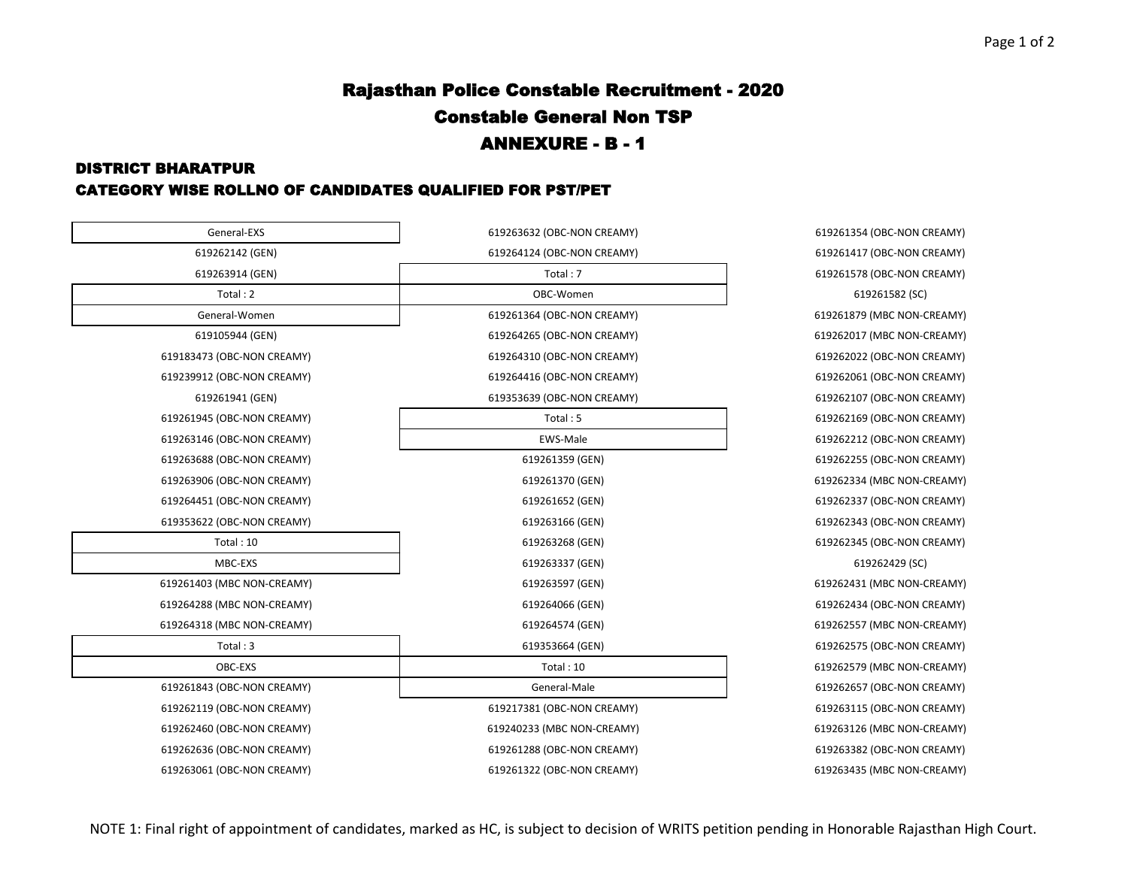## Rajasthan Police Constable Recruitment - 2020 Constable General Non TSP ANNEXURE - B - 1

#### DISTRICT BHARATPUR

#### CATEGORY WISE ROLLNO OF CANDIDATES QUALIFIED FOR PST/PET

| General-EXS                | 619263632 (OBC-NON CREAMY) | 619261354 (OBC-NON C |
|----------------------------|----------------------------|----------------------|
| 619262142 (GEN)            | 619264124 (OBC-NON CREAMY) | 619261417 (OBC-NON O |
| 619263914 (GEN)            | Total: 7                   | 619261578 (OBC-NON C |
| Total: 2                   | OBC-Women                  | 619261582 (SC)       |
| General-Women              | 619261364 (OBC-NON CREAMY) | 619261879 (MBC NON-0 |
| 619105944 (GEN)            | 619264265 (OBC-NON CREAMY) | 619262017 (MBC NON-0 |
| 619183473 (OBC-NON CREAMY) | 619264310 (OBC-NON CREAMY) | 619262022 (OBC-NON C |
| 619239912 (OBC-NON CREAMY) | 619264416 (OBC-NON CREAMY) | 619262061 (OBC-NON C |
| 619261941 (GEN)            | 619353639 (OBC-NON CREAMY) | 619262107 (OBC-NON O |
| 619261945 (OBC-NON CREAMY) | Total: 5                   | 619262169 (OBC-NON C |
| 619263146 (OBC-NON CREAMY) | EWS-Male                   | 619262212 (OBC-NON C |
| 619263688 (OBC-NON CREAMY) | 619261359 (GEN)            | 619262255 (OBC-NON C |
| 619263906 (OBC-NON CREAMY) | 619261370 (GEN)            | 619262334 (MBC NON-0 |
| 619264451 (OBC-NON CREAMY) | 619261652 (GEN)            | 619262337 (OBC-NON C |
| 619353622 (OBC-NON CREAMY) | 619263166 (GEN)            | 619262343 (OBC-NON C |
| Total: 10                  | 619263268 (GEN)            | 619262345 (OBC-NON C |
| MBC-EXS                    | 619263337 (GEN)            | 619262429 (SC)       |
| 619261403 (MBC NON-CREAMY) | 619263597 (GEN)            | 619262431 (MBC NON-0 |
| 619264288 (MBC NON-CREAMY) | 619264066 (GEN)            | 619262434 (OBC-NON O |
| 619264318 (MBC NON-CREAMY) | 619264574 (GEN)            | 619262557 (MBC NON-0 |
| Total:3                    | 619353664 (GEN)            | 619262575 (OBC-NON C |
| OBC-EXS                    | Total:10                   | 619262579 (MBC NON-0 |
| 619261843 (OBC-NON CREAMY) | General-Male               | 619262657 (OBC-NON O |
| 619262119 (OBC-NON CREAMY) | 619217381 (OBC-NON CREAMY) | 619263115 (OBC-NON C |
| 619262460 (OBC-NON CREAMY) | 619240233 (MBC NON-CREAMY) | 619263126 (MBC NON-0 |
| 619262636 (OBC-NON CREAMY) | 619261288 (OBC-NON CREAMY) | 619263382 (OBC-NON C |
| 619263061 (OBC-NON CREAMY) | 619261322 (OBC-NON CREAMY) | 619263435 (MBC NON-0 |

619261354 (OBC-NON CREAMY) 619261417 (OBC-NON CREAMY) 619261578 (OBC-NON CREAMY)

619261879 (MBC NON-CREAMY) 619262017 (MBC NON-CREAMY) 619262022 (OBC-NON CREAMY) 619239912 (OBC-NON CREAMY) 619264416 (OBC-NON CREAMY) 619262061 (OBC-NON CREAMY) 619262107 (OBC-NON CREAMY) 619262169 (OBC-NON CREAMY) 619262212 (OBC-NON CREAMY) 619262255 (OBC-NON CREAMY) 619262334 (MBC NON-CREAMY) 619262337 (OBC-NON CREAMY) 619262343 (OBC-NON CREAMY) 619262345 (OBC-NON CREAMY) 619262431 (MBC NON-CREAMY) 619262434 (OBC-NON CREAMY) 619262557 (MBC NON-CREAMY) 619262575 (OBC-NON CREAMY)

619262579 (MBC NON-CREAMY) 619262657 (OBC-NON CREAMY) 619263115 (OBC-NON CREAMY) 619263126 (MBC NON-CREAMY) 619262636 (OBC-NON CREAMY) 619261288 (OBC-NON CREAMY) 619263382 (OBC-NON CREAMY) 619263435 (MBC NON-CREAMY)